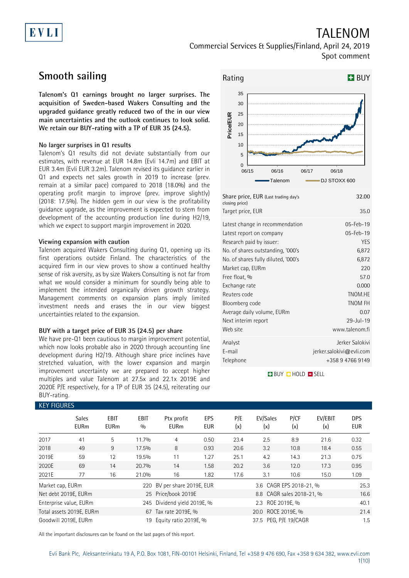# EVLI

# TALENOM

Commercial Services & Supplies/Finland, April 24, 2019 Spot comment

## **Smooth sailing**

**Talenom's Q1 earnings brought no larger surprises. The acquisition of Sweden-based Wakers Consulting and the upgraded guidance greatly reduced two of the in our view main uncertainties and the outlook continues to look solid. We retain our BUY-rating with a TP of EUR 35 (24.5).**

### **No larger surprises in Q1 results**

Talenom's Q1 results did not deviate substantially from our estimates, with revenue at EUR 14.8m (Evli 14.7m) and EBIT at EUR 3.4m (Evli EUR 3.2m). Talenom revised its guidance earlier in Q1 and expects net sales growth in 2019 to increase (prev. remain at a similar pace) compared to 2018 (18.0%) and the operating profit margin to improve (prev. improve slightly) (2018: 17.5%). The hidden gem in our view is the profitability guidance upgrade, as the improvement is expected to stem from development of the accounting production line during H2/19, which we expect to support margin improvement in 2020.

### **Viewing expansion with caution**

Talenom acquired Wakers Consulting during Q1, opening up its first operations outside Finland. The characteristics of the acquired firm in our view proves to show a continued healthy sense of risk aversity, as by size Wakers Consulting is not far from what we would consider a minimum for soundly being able to implement the intended organically driven growth strategy. Management comments on expansion plans imply limited investment needs and erases the in our view biggest uncertainties related to the expansion.

### **BUY with a target price of EUR 35 (24.5) per share**

We have pre-Q1 been cautious to margin improvement potential, which now looks probable also in 2020 through accounting line development during H2/19. Although share price inclines have stretched valuation, with the lower expansion and margin improvement uncertainty we are prepared to accept higher multiples and value Talenom at 27.5x and 22.1x 2019E and 2020E P/E respectively, for a TP of EUR 35 (24.5), reiterating our BUY-rating.



| Share price, EUR (Last trading day's<br>closing price) | 32.00                    |
|--------------------------------------------------------|--------------------------|
| Target price, EUR                                      | 35.0                     |
| Latest change in recommendation                        | 05-Feb-19                |
| Latest report on company                               | 05-Feb-19                |
| Research paid by issuer:                               | <b>YES</b>               |
| No. of shares outstanding, '000's                      | 6,872                    |
| No. of shares fully diluted, '000's                    | 6,872                    |
| Market cap, EURm                                       | 220                      |
| Free float, %                                          | 57.0                     |
| Exchange rate                                          | 0.000                    |
| Reuters code                                           | TNOM.HE                  |
| Bloomberg code                                         | TNOM FH                  |
| Average daily volume, EURm                             | 0.07                     |
| Next interim report                                    | $29 -  u  - 19$          |
| Web site                                               | www.talenom.fi           |
| Analyst                                                | Jerker Salokivi          |
| E-mail                                                 | jerker.salokivi@evli.com |
| Telephone                                              | +358 9 4766 9149         |
|                                                        |                          |

**BUY QHOLD SELL** 

| <b>KEY FIGURES</b>   |                             |                     |                    |                             |                   |            |                           |             |                |                          |
|----------------------|-----------------------------|---------------------|--------------------|-----------------------------|-------------------|------------|---------------------------|-------------|----------------|--------------------------|
|                      | <b>Sales</b><br><b>EURm</b> | EBIT<br><b>EURm</b> | <b>EBIT</b><br>0/0 | Ptx profit<br><b>EURm</b>   | EPS<br><b>EUR</b> | P/E<br>(x) | EV/Sales<br>(x)           | P/CF<br>(x) | EV/EBIT<br>(x) | <b>DPS</b><br><b>EUR</b> |
| 2017                 | 41                          | 5                   | 11.7%              | 4                           | 0.50              | 23.4       | 2.5                       | 8.9         | 21.6           | 0.32                     |
| 2018                 | 49                          | 9                   | 17.5%              | 8                           | 0.93              | 20.6       | 3.2                       | 10.8        | 18.4           | 0.55                     |
| 2019E                | 59                          | 12                  | 19.5%              | 11                          | 1.27              | 25.1       | 4.2                       | 14.3        | 21.3           | 0.75                     |
| 2020E                | 69                          | 14                  | 20.7%              | 14                          | 1.58              | 20.2       | 3.6                       | 12.0        | 17.3           | 0.95                     |
| 2021E                | 77                          | 16                  | 21.0%              | 16                          | 1.82              | 17.6       | 3.1                       | 10.6        | 15.0           | 1.09                     |
| Market cap, EURm     |                             |                     |                    | 220 BV per share 2019E, EUR |                   |            | 3.6 CAGR EPS 2018-21, %   |             |                | 25.3                     |
| Net debt 2019E, EURm |                             |                     |                    | 25 Price/book 2019E         |                   |            | 8.8 CAGR sales 2018-21, % |             |                | 16.6                     |
|                      | Enterprise value, EURm      |                     |                    | 245 Dividend yield 2019E, % |                   |            | 2.3 ROE 2019E, %          |             |                | 40.1                     |
|                      | Total assets 2019E, EURm    |                     |                    | 67 Tax rate 2019E, %        |                   |            | 20.0 ROCE 2019E, %        |             |                | 21.4                     |
| Goodwill 2019E, EURm |                             |                     | 19                 | Equity ratio 2019E, %       |                   |            | 37.5 PEG, P/E 19/CAGR     |             |                | 1.5                      |

All the important disclosures can be found on the last pages of this report.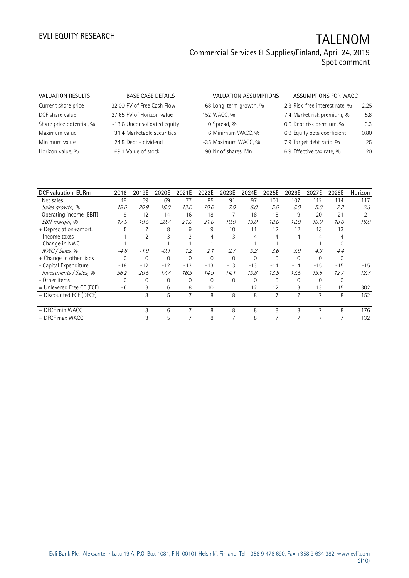| VALUATION RESULTS        | <b>BASE CASE DETAILS</b>    | <b>VALUATION ASSUMPTIONS</b> | ASSUMPTIONS FOR WACC           |      |
|--------------------------|-----------------------------|------------------------------|--------------------------------|------|
| Current share price      | 32.00 PV of Free Cash Flow  | 68 Long-term growth, %       | 2.3 Risk-free interest rate, % | 2.25 |
| DCF share value          | 27.65 PV of Horizon value   | 152 WACC, %                  | 7.4 Market risk premium, %     | 5.8  |
| Share price potential, % | -13.6 Unconsolidated equity | 0 Spread, %                  | 0.5 Debt risk premium, %       | 3.3  |
| Maximum value            | 31.4 Marketable securities  | 6 Minimum WACC, %            | 6.9 Equity beta coefficient    | 0.80 |
| Minimum value            | 24.5 Debt - dividend        | -35 Maximum WACC, %          | 7.9 Target debt ratio, %       | 25   |
| Horizon value, %         | 69.1 Value of stock         | 190 Nr of shares, Mn         | 6.9 Effective tax rate, %      | 20   |

| DCF valuation, EURm         | 2018     | 2019E        | 2020E    | 2021E    | 2022E        | 2023E    | 2024E    | 2025E          | 2026E        | 2027E    | 2028E    | Horizon |
|-----------------------------|----------|--------------|----------|----------|--------------|----------|----------|----------------|--------------|----------|----------|---------|
| Net sales                   | 49       | 59           | 69       | 77       | 85           | 91       | 97       | 101            | 107          | 112      | 114      | 117     |
| Sales growth, %             | 18.0     | 20.9         | 16.0     | 13.0     | 10.0         | 7.0      | 6.0      | 5.0            | 5.0          | 5.0      | 2.3      | 2.3     |
| Operating income (EBIT)     | 9        | 12           | 14       | 16       | 18           | 17       | 18       | 18             | 19           | 20       | 21       | 21      |
| EBIT margin, %              | 17.5     | 19.5         | 20.7     | 21.0     | 21.0         | 19.0     | 19.0     | 18.0           | 18.0         | 18.0     | 18.0     | 18.0    |
| + Depreciation+amort.       | 5        | 7            | 8        | 9        | 9            | 10       | 11       | 12             | 12           | 13       | 13       |         |
| - Income taxes              | $-1$     | $-2$         | $-3$     | $-3$     | $-4$         | $-3$     | $-4$     | $-4$           | $-4$         | $-4$     | $-4$     |         |
| - Change in NWC             | $-1$     | $-1$         | $-1$     | $-1$     | $-1$         | $-1$     | $-1$     | $-1$           | $-1$         | $-1$     | $\Omega$ |         |
| NWC / Sales, %              | $-4.6$   | $-1.9$       | $-0.1$   | 1.2      | 2.1          | 2.7      | 3.2      | 3.6            | 3.9          | 4.3      | 4.4      |         |
| + Change in other liabs     | $\Omega$ | 0            | $\Omega$ | $\Omega$ | $\Omega$     | $\Omega$ | $\Omega$ | $\Omega$       | $\Omega$     | $\Omega$ | $\Omega$ |         |
| - Capital Expenditure       | $-18$    | $-12$        | $-12$    | $-13$    | $-13$        | $-13$    | $-13$    | $-14$          | $-14$        | $-15$    | $-15$    | $-15$   |
| Investments / Sales, %      | 36.2     | 20.5         | 17.7     | 16.3     | 14.9         | 14.1     | 13.8     | 13.5           | 13.5         | 13.5     | 12.7     | 12.7    |
| - Other items               | 0        | $\mathbf{0}$ | 0        | 0        | $\mathbf{0}$ | $\Omega$ | 0        | 0              | $\mathbf{0}$ | 0        | 0        |         |
| $=$ Unlevered Free CF (FCF) | $-6$     | 3            | 6        | 8        | 10           | 11       | 12       | 12             | 13           | 13       | 15       | 302     |
| $=$ Discounted FCF (DFCF)   |          | 3            | 5        |          | 8            | 8        | 8        | $\overline{7}$ |              |          | 8        | 152     |
|                             |          |              |          |          |              |          |          |                |              |          |          |         |
| $=$ DFCF min WACC           |          | 3            | 6        | 7        | 8            | 8        | 8        | 8              | 8            | 7        | 8        | 176     |
| $=$ DFCF max WACC           |          | 3            | 5        |          | 8            |          | 8        | $\overline{ }$ |              |          |          | 132     |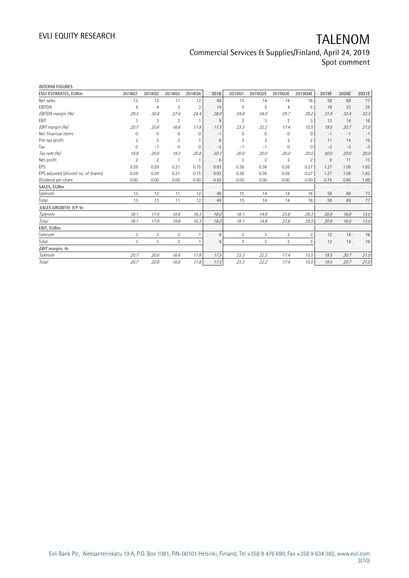| <b>INTERIM FIGURES</b>               |                |                |                |                |      |          |                |                |                |       |       |       |
|--------------------------------------|----------------|----------------|----------------|----------------|------|----------|----------------|----------------|----------------|-------|-------|-------|
| EVLI ESTIMATES, EURm                 | 201801         | 201802         | 201803         | 201804         | 2018 | 201901   | 2019Q2E        | 2019Q3E        | 2019Q4E        | 2019E | 2020E | 2021E |
| Net sales                            | 13             | 13             | 11             | 12             | 49   | 15       | 14             | 14             | 16             | 59    | 69    | 77    |
| EBITDA                               | $\overline{4}$ | $\overline{4}$ | 3              | 3              | 14   | 5        | 5              | $\overline{4}$ | 5              | 19    | 22    | 25    |
| EBITDA margin (%)                    | 29.3           | 30.8           | 27.4           | 24.4           | 28.0 | 34.8     | 34.0           | 29.7           | 29.2           | 31.9  | 32.4  | 32.3  |
| EBIT                                 | 3              | 3              | $\overline{2}$ | $\overline{1}$ | 9    | 3        | 3              | $\overline{2}$ | 3              | 12    | 14    | 16    |
| EBIT margin (%)                      | 20.7           | 20.6           | 16.6           | 11.8           | 17.5 | 23.3     | 22.2           | 17.4           | 15.5           | 19.5  | 20.7  | 21.0  |
| Net financial items                  | $\Omega$       | $\mathbf 0$    | 0              | $\mathbf{0}$   | $-1$ | $\Omega$ | 0              | 0              | $\Omega$       | $-1$  | $-1$  | $-1$  |
| Pre-tax profit                       | $\overline{2}$ | $\overline{2}$ | $\overline{2}$ |                | 8    | 3        | 3              | $\overline{2}$ |                | 11    | 14    | 16    |
| Tax                                  | $\Omega$       | $-1$           | $\Omega$       | 0              | $-2$ | - 1      | $-1$           | 0              | $\Omega$       | $-2$  | $-3$  | $-3$  |
| Tax rate (%)                         | 19.9           | 20.6           | 19.3           | 20.8           | 20.1 | 20.0     | 20.0           | 20.0           | 20.0           | 20.0  | 20.0  | 20.0  |
| Net profit                           | $\overline{2}$ | $\overline{2}$ |                | $\mathbf{1}$   | 6    | 3        | $\overline{2}$ | $\overline{2}$ | $\overline{2}$ | 9     | 11    | 13    |
| EPS                                  | 0.29           | 0.29           | 0.21           | 0.15           | 0.93 | 0.38     | 0.36           | 0.26           | 0.27           | 1.27  | 1.58  | 1.82  |
| EPS adjusted (diluted no. of shares) | 0.29           | 0.29           | 0.21           | 0.15           | 0.93 | 0.38     | 0.36           | 0.26           | 0.27           | 1.27  | 1.58  | 1.82  |
| Dividend per share                   | 0.00           | 0.00           | 0.00           | 0.00           | 0.55 | 0.00     | 0.00           | 0.00           | 0.00           | 0.75  | 0.95  | 1.09  |
| SALES, EURm                          |                |                |                |                |      |          |                |                |                |       |       |       |
| Talenom                              | 13             | 13             | 11             | 12             | 49   | 15       | 14             | 14             | 16             | 59    | 69    | 77    |
| Total                                | 13             | 13             | 11             | 12             | 49   | 15       | 14             | 14             | 16             | 59    | 69    | 77    |
| SALES GROWTH, Y/Y %                  |                |                |                |                |      |          |                |                |                |       |       |       |
| Talenom                              | 18.1           | 17.9           | 19.8           | 16.3           | 18.0 | 16.1     | 14.8           | 23.8           | 29.3           | 20.9  | 16.0  | 13.0  |
| <b>Total</b>                         | 18.1           | 17.9           | 19.8           | 16.3           | 18.0 | 16.1     | 14.8           | 23.8           | 29.3           | 20.9  | 16.0  | 13.0  |
| EBIT, EURm                           |                |                |                |                |      |          |                |                |                |       |       |       |
| Talenom                              | 3              | 3              | $\overline{2}$ | $\mathbf{1}$   | 9    | 3        | 3              | $\overline{2}$ | 3              | 12    | 14    | 16    |
| Total                                | 3              | 3              | $\overline{2}$ | $\mathbf{1}$   | 9    | 3        | 3              | $\overline{2}$ | 3              | 12    | 14    | 16    |
| EBIT margin, %                       |                |                |                |                |      |          |                |                |                |       |       |       |
| Talenom                              | 20.7           | 20.6           | 16.6           | 11.8           | 17.5 | 23.3     | 22.2           | 17.4           | 15.5           | 19.5  | 20.7  | 21.0  |
| Total                                | 20.7           | 20.6           | 16.6           | 11.8           | 17.5 | 23.3     | 22.2           | 17.4           | 15.5           | 19.5  | 20.7  | 21.0  |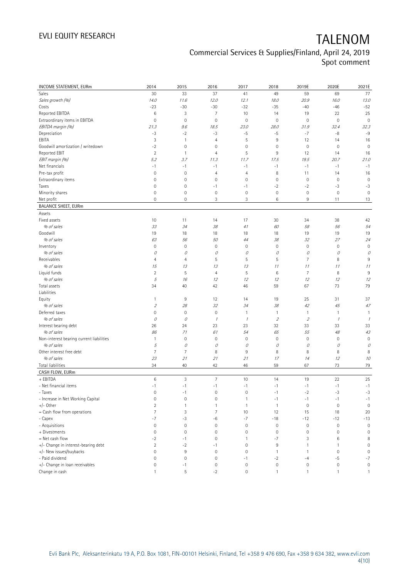| <b>INCOME STATEMENT, EURm</b>            | 2014                | 2015           | 2016                    | 2017                | 2018           | 2019E               | 2020E            | 2021E               |
|------------------------------------------|---------------------|----------------|-------------------------|---------------------|----------------|---------------------|------------------|---------------------|
| Sales                                    | 30                  | 33             | 37                      | 41                  | 49             | 59                  | 69               | 77                  |
| Sales growth (%)                         | 14.0                | 11.6           | 12.0                    | 12.1                | 18.0           | 20.9                | 16.0             | 13.0                |
| Costs                                    | $-23$               | $-30$          | $-30$                   | $-32$               | $-35$          | $-40$               | $-46$            | $-52$               |
| Reported EBITDA                          | $\,6$               | 3              | $\overline{7}$          | 10                  | 14             | 19                  | 22               | 25                  |
| Extraordinary items in EBITDA            | $\mathbf 0$         | $\mathbf 0$    | $\mathbf 0$             | $\mathbf 0$         | $\mathbf 0$    | $\mathbf 0$         | $\mathbf 0$      | $\mathbf 0$         |
| EBITDA margin (%)                        | 21.3                | 9.6            | 18.5                    | 23.0                | 28.0           | 31.9                | 32.4             | 32.3                |
| Depreciation                             | $-3$                | $-2$           | $-3$                    | $-5$                | $-5$           | $-7$                | -8               | $-9$                |
| EBITA                                    | 3                   | $\mathbf{1}$   | 4                       | 5                   | 9              | 12                  | 14               | 16                  |
| Goodwill amortization / writedown        | $-2$                | $\mathbf 0$    | $\mathbf 0$             | 0                   | $\mathbf 0$    | $\mathsf{O}\xspace$ | $\mathbb O$      | $\mathbf 0$         |
| Reported EBIT                            | $\overline{2}$      | $\overline{1}$ | 4                       | 5                   | 9              | 12                  | 14               | 16                  |
| EBIT margin (%)                          | 5.2                 | 3.7            | 11.3                    | 11.7                | 17.5           | 19.5                | 20.7             | 21.0                |
| Net financials                           | $-1$                | $-1$           | $-1$                    | $-1$                | $-1$           | $-1$                | $-1$             | $-1$                |
| Pre-tax profit                           | $\mathbf 0$         | $\mathbf 0$    | 4                       | $\overline{4}$      | 8              | 11                  | 14               | 16                  |
| Extraordinary items                      | 0                   | $\mathbf 0$    | $\mathbf 0$             | $\mathbf 0$         | $\mathbf 0$    | $\mathsf{O}\xspace$ | $\mathbb O$      | $\mathbf 0$         |
| Taxes                                    | $\mathsf{O}\xspace$ | $\mathbf 0$    | $-1$                    | $-1$                | $-2$           | $-2$                | $-3$             | $-3$                |
| Minority shares                          | $\mathsf{O}\xspace$ | $\mathbf 0$    | $\mathbf 0$             | $\mathbf 0$         | $\mathbf 0$    | $\mathbb O$         | $\mathbf 0$      | $\mathbf 0$         |
| Net profit                               | 0                   | $\mathbf 0$    | 3                       | 3                   | 6              | 9                   | 11               | 13                  |
| <b>BALANCE SHEET, EURm</b>               |                     |                |                         |                     |                |                     |                  |                     |
| Assets                                   |                     |                |                         |                     |                |                     |                  |                     |
| Fixed assets                             | 10                  | 11             | 14                      | 17                  | 30             | 34                  | 38               | 42                  |
| % of sales                               | 33                  | 34             | 38                      | 41                  | 60             | 58                  | 56               | 54                  |
| Goodwill                                 | 19                  | 18             | 18                      | 18                  | 18             | 19                  | 19               | 19                  |
| % of sales                               | 63                  | 56             | 50                      | 44                  | 38             | 32                  | 27               | 24                  |
| Inventory                                | $\mathsf{O}\xspace$ | $\mathbf 0$    | $\mathbf 0$             | $\mathbf 0$         | $\mathbf 0$    | $\mathsf{O}\xspace$ | $\mathbf 0$      | $\mathbf 0$         |
| % of sales                               | 0                   | 0              | 0                       | 0                   | 0              | 0                   | 0                | 0                   |
| Receivables                              | 4                   | $\overline{4}$ | 5                       | 5                   | 5              | $\overline{7}$      | 8                | $9\,$               |
| % of sales                               | 15                  | 13             | 13                      | 13                  | 11             | 11                  | 11               | 11                  |
| Liquid funds                             | $\overline{2}$      | 5              | 4                       | 5                   | 6              | $\overline{7}$      | 8                | 9                   |
| % of sales                               | 5                   | 16             | 12                      | 12                  | 12             | 12                  | 12               | 12                  |
| Total assets<br>Liabilities              | 34                  | 40             | 42                      | 46                  | 59             | 67                  | 73               | 79                  |
| Equity                                   | $\mathbf{1}$        | 9              | 12                      | 14                  | 19             | 25                  | 31               | 37                  |
| % of sales                               | $\mathfrak z$       | 28             | 32                      | 34                  | 38             | 42                  | 45               | 47                  |
| Deferred taxes                           | $\overline{0}$      | $\mathbf 0$    | $\mathsf{O}\xspace$     | 1                   | $\mathbf{1}$   | $\mathbf{1}$        | 1                | $\mathbf{1}$        |
| % of sales                               | 0                   | 0              | $\mathcal I$            | $\mathcal I$        | $\overline{2}$ | $\mathfrak z$       | $\mathcal{I}$    | $\mathcal I$        |
| Interest bearing debt                    | 26                  | 24             | 23                      | 23                  | 32             | 33                  | 33               | 33                  |
| % of sales                               | 86                  | 71             | 61                      | 54                  | 65             | 55                  | $48\,$           | 43                  |
| Non-interest bearing current liabilities | $\mathbf{1}$        | $\mathbf 0$    | $\mathsf{O}\xspace$     | $\mathbf 0$         | $\mathbf 0$    | $\mathbf 0$         | 0                | $\mathbf 0$         |
| % of sales                               | 5                   | 0              | 0                       | 0                   | 0              | 0                   | 0                | 0                   |
| Other interest free debt                 | 7                   | $\overline{7}$ | 8                       | 9                   | 8              | 8                   | 8                | 8                   |
| % of sales                               | 23                  | 21             | 21                      | 21                  | 17             | 14                  | 12               | 10                  |
| Total liabilities                        | 34                  | 40             | 42                      | 46                  | 59             | 67                  | 73               | 79                  |
| CASH FLOW, EURm                          |                     |                |                         |                     |                |                     |                  |                     |
| + EBITDA                                 | 6                   | $\mathfrak{Z}$ | $\overline{7}$          | 10                  | 14             | 19                  | 22               | 25                  |
| - Net financial items                    | $-1$                | $-1$           | $\mathord{\text{--}} 1$ | $^{\rm -1}$         | $-1$           | $-1$                | $^{\rm -1}$      | $-1$                |
| - Taxes                                  | $\mathsf{O}\xspace$ | $-1$           | $\mathsf{O}\xspace$     | $\mathbf 0$         | $-1$           | $-2$                | $-3$             | $-3$                |
| - Increase in Net Working Capital        | 0                   | $\mathbf 0$    | 0                       | $\mathbf{1}$        | $-1$           | $-1$                | $-1$             | $-1$                |
| $+/-$ Other                              | $\overline{2}$      | $\mathbf{1}$   | $\mathbf{1}$            | $\mathbf{1}$        | $\overline{1}$ | $\mathbb O$         | $\mathbf 0$      | $\mathbf 0$         |
| = Cash flow from operations              | $\overline{7}$      | $\sqrt{3}$     | $\overline{7}$          | 10                  | 12             | 15                  | 18               | 20                  |
| - Capex                                  | $-7$                | -3             | $-6$                    | $-7$                | $-18$          | $-12$               | $-12$            | $-13$               |
| - Acquisitions                           | $\mathsf{O}\xspace$ | $\mathbf 0$    | $\mathbf 0$             | $\mathsf{O}\xspace$ | $\mathbb O$    | $\mathbb O$         | $\mathbf 0$      | $\mathbf 0$         |
| + Divestments                            | $\mathsf{O}\xspace$ | $\mathbf 0$    | $\mathbf 0$             | $\mathsf{O}\xspace$ | $\mathbf 0$    | $\mathbb O$         | $\mathbf 0$      | $\mathbf 0$         |
| = Net cash flow                          | $-2$                | $-1$           | $\mathbf 0$             | 1                   | $-7$           | 3                   | 6                | 8                   |
| +/- Change in interest-bearing debt      | $\overline{2}$      | $-2$           | $-1$                    | $\mathsf{O}\xspace$ | $\,9$          | $\mathbf{1}$        | $\mathbf{1}$     | $\mathsf{O}\xspace$ |
| +/- New issues/buybacks                  | 0                   | 9              | $\mathbf 0$             | $\mathbf 0$         | $\overline{1}$ | $\mathbf{1}$        | $\mathbf 0$      | $\mathbf 0$         |
| - Paid dividend                          | $\mathsf{O}\xspace$ | $\mathbf 0$    | $\mathbf 0$             | $-1$                | $-2$           | $-4$                | $-5$             | $-7$                |
| +/- Change in loan receivables           | 0                   | $-1$           | $\mathbf 0$             | $\mathbf 0$         | $\mathbb O$    | $\mathsf{O}\xspace$ | $\boldsymbol{0}$ | $\mathsf{O}\xspace$ |
| Change in cash                           | $\mathbf{1}$        | $\mathsf S$    | $-2$                    | $\mathsf{O}\xspace$ | $\mathbf{1}$   | $\mathbf{1}$        | $\mathbf{1}$     | $\mathbf{1}$        |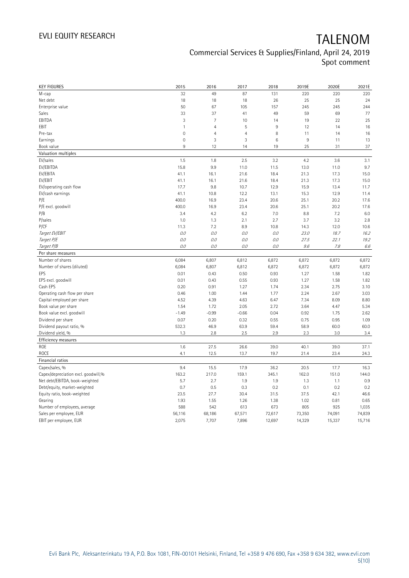| <b>KEY FIGURES</b>                  | 2015         | 2016           | 2017           | 2018   | 2019E  | 2020E  | 2021E  |
|-------------------------------------|--------------|----------------|----------------|--------|--------|--------|--------|
| M-cap                               | 32           | 49             | 87             | 131    | 220    | 220    | 220    |
| Net debt                            | 18           | 18             | 18             | 26     | 25     | 25     | 24     |
| Enterprise value                    | 50           | 67             | 105            | 157    | 245    | 245    | 244    |
| Sales                               | 33           | 37             | 41             | 49     | 59     | 69     | 77     |
| EBITDA                              | 3            | $\overline{7}$ | 10             | 14     | 19     | 22     | 25     |
| EBIT                                | $\mathbf{1}$ | $\overline{4}$ | 5              | 9      | 12     | 14     | 16     |
| Pre-tax                             | $\mathbf 0$  | $\overline{4}$ | $\overline{4}$ | 8      | 11     | 14     | 16     |
| Earnings                            | $\mathbf 0$  | 3              | 3              | 6      | $\,9$  | 11     | 13     |
| Book value                          | 9            | 12             | 14             | 19     | 25     | 31     | 37     |
| Valuation multiples                 |              |                |                |        |        |        |        |
| EV/sales                            | 1.5          | 1.8            | 2.5            | 3.2    | 4.2    | 3.6    | 3.1    |
| EV/EBITDA                           | 15.8         | 9.9            | 11.0           | 11.5   | 13.0   | 11.0   | 9.7    |
| EV/EBITA                            | 41.1         | 16.1           | 21.6           | 18.4   | 21.3   | 17.3   | 15.0   |
| EV/EBIT                             | 41.1         | 16.1           | 21.6           | 18.4   | 21.3   | 17.3   | 15.0   |
| EV/operating cash flow              | 17.7         | 9.8            | 10.7           | 12.9   | 15.9   | 13.4   | 11.7   |
| EV/cash earnings                    | 41.1         | 10.8           | 12.2           | 13.1   | 15.3   | 12.9   | 11.4   |
| P/E                                 | 400.0        | 16.9           | 23.4           | 20.6   | 25.1   | 20.2   | 17.6   |
| P/E excl. goodwill                  | 400.0        | 16.9           | 23.4           | 20.6   | 25.1   | 20.2   | 17.6   |
| P/B                                 | 3.4          | 4.2            | 6.2            | 7.0    | 8.8    | 7.2    | 6.0    |
| P/sales                             | 1.0          | 1.3            | 2.1            | 2.7    | 3.7    | 3.2    | 2.8    |
| P/CF                                | 11.3         | 7.2            | 8.9            | 10.8   | 14.3   | 12.0   | 10.6   |
| Target EV/EBIT                      | 0.0          | 0.0            | 0.0            | O.O    | 23.0   | 18.7   | 16.2   |
| Target P/E                          | 0.0          | 0.0            | 0.0            | 0.0    | 27.5   | 22.1   | 19.2   |
| Target P/B                          | O.O          | 0.0            | 0.0            | 0.0    | 9.6    | 7.8    | 6.6    |
| Per share measures                  |              |                |                |        |        |        |        |
| Number of shares                    | 6,084        | 6,807          | 6,812          | 6,872  | 6,872  | 6,872  | 6,872  |
| Number of shares (diluted)          | 6,084        | 6,807          | 6,812          | 6,872  | 6,872  | 6,872  | 6,872  |
| EPS                                 | 0.01         | 0.43           | 0.50           | 0.93   | 1.27   | 1.58   | 1.82   |
| EPS excl. goodwill                  | 0.01         | 0.43           | 0.55           | 0.93   | 1.27   | 1.58   | 1.82   |
| Cash EPS                            | 0.20         | 0.91           | 1.27           | 1.74   | 2.34   | 2.75   | 3.10   |
| Operating cash flow per share       | 0.46         | 1.00           | 1.44           | 1.77   | 2.24   | 2.67   | 3.03   |
| Capital employed per share          | 4.52         | 4.39           | 4.63           | 6.47   | 7.34   | 8.09   | 8.80   |
| Book value per share                | 1.54         | 1.72           | 2.05           | 2.72   | 3.64   | 4.47   | 5.34   |
| Book value excl. goodwill           | $-1.49$      | $-0.99$        | $-0.66$        | 0.04   | 0.92   | 1.75   | 2.62   |
| Dividend per share                  | 0.07         | 0.20           | 0.32           | 0.55   | 0.75   | 0.95   | 1.09   |
| Dividend payout ratio, %            | 532.3        | 46.9           | 63.9           | 59.4   | 58.9   | 60.0   | 60.0   |
| Dividend yield, %                   | 1.3          | 2.8            | 2.5            | 2.9    | 2.3    | 3.0    | 3.4    |
| Efficiency measures                 |              |                |                |        |        |        |        |
| ROE                                 | 1.6          | 27.5           | 26.6           | 39.0   | 40.1   | 39.0   | 37.1   |
| ROCE                                | 4.1          | 12.5           | 13.7           | 19.7   | 21.4   | 23.4   | 24.3   |
| Financial ratios                    |              |                |                |        |        |        |        |
| Capex/sales, %                      | 9.4          | 15.5           | 17.9           | 36.2   | 20.5   | 17.7   | 16.3   |
| Capex/depreciation excl. goodwill,% | 163.2        | 217.0          | 159.1          | 345.1  | 162.0  | 151.0  | 144.0  |
| Net debt/EBITDA, book-weighted      | 5.7          | 2.7            | 1.9            | 1.9    | 1.3    | 1.1    | 0.9    |
| Debt/equity, market-weighted        | 0.7          | 0.5            | 0.3            | 0.2    | 0.1    | 0.2    | 0.2    |
| Equity ratio, book-weighted         | 23.5         | 27.7           | 30.4           | 31.5   | 37.5   | 42.1   | 46.6   |
| Gearing                             | 1.93         | 1.55           | 1.26           | 1.38   | 1.02   | 0.81   | 0.65   |
| Number of employees, average        | 588          | 542            | 613            | 673    | 805    | 925    | 1,035  |
| Sales per employee, EUR             | 56,116       | 68,186         | 67,571         | 72,617 | 73,350 | 74,091 | 74,839 |
| EBIT per employee, EUR              | 2,075        | 7,707          | 7,896          | 12,697 | 14,329 | 15,337 | 15,716 |
|                                     |              |                |                |        |        |        |        |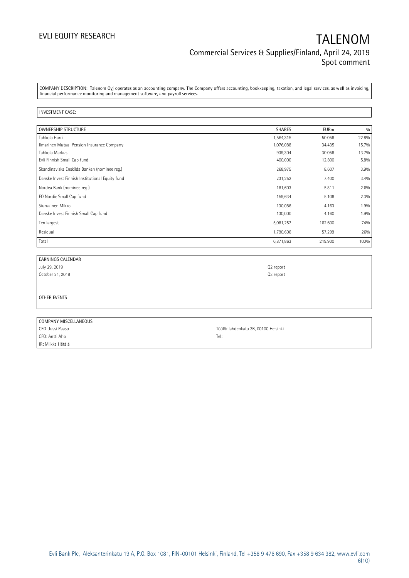COMPANY DESCRIPTION: Talenom Oyj operates as an accounting company. The Company offers accounting, bookkeeping, taxation, and legal services, as well as invoicing, financial performance monitoring and management software, and payroll services.

### INVESTMENT CASE:

| <b>OWNERSHIP STRUCTURE</b>                      | <b>SHARES</b> | <b>EURm</b> | 0/0   |
|-------------------------------------------------|---------------|-------------|-------|
| Tahkola Harri                                   | 1,564,315     | 50.058      | 22.8% |
| Ilmarinen Mutual Pension Insurance Company      | 1,076,088     | 34.435      | 15.7% |
| Tahkola Markus                                  | 939,304       | 30.058      | 13.7% |
| Evli Finnish Small Cap fund                     | 400,000       | 12.800      | 5.8%  |
| Skandinaviska Enskilda Banken (nominee reg.)    | 268,975       | 8.607       | 3.9%  |
| Danske Invest Finnish Institutional Equity fund | 231,252       | 7.400       | 3.4%  |
| Nordea Bank (nominee reg.)                      | 181,603       | 5.811       | 2.6%  |
| EQ Nordic Small Cap fund                        | 159,634       | 5.108       | 2.3%  |
| Siuruainen Mikko                                | 130,086       | 4.163       | 1.9%  |
| Danske Invest Finnish Small Cap fund            | 130,000       | 4.160       | 1.9%  |
| Ten largest                                     | 5,081,257     | 162.600     | 74%   |
| Residual                                        | 1,790,606     | 57.299      | 26%   |
| Total                                           | 6,871,863     | 219.900     | 100%  |

| EARNINGS CALENDAR     |                                     |
|-----------------------|-------------------------------------|
| July 29, 2019         | Q2 report                           |
| October 21, 2019      | Q3 report                           |
|                       |                                     |
|                       |                                     |
| OTHER EVENTS          |                                     |
|                       |                                     |
|                       |                                     |
| COMPANY MISCELLANEOUS |                                     |
| CEO: Jussi Paaso      | Töölönlahdenkatu 3B, 00100 Helsinki |
| CFO: Antti Aho        | Tel:                                |

IR: Miikka Hätälä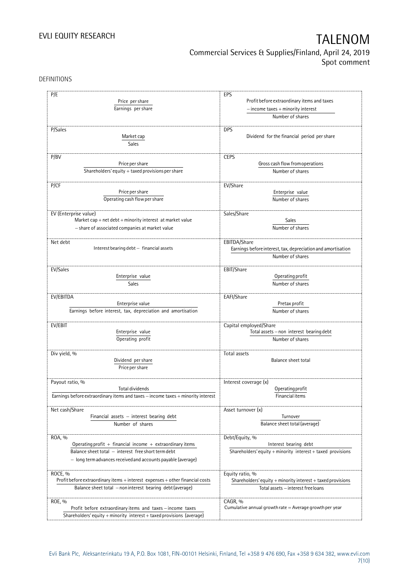DEFINITIONS

| Profit before extraordinary items and taxes<br>Price per share<br>Earnings per share<br>$-$ income taxes $+$ minority interest<br>Number of shares<br>P/Sales<br><b>DPS</b><br>Dividend for the financial period per share<br>Market cap<br>Sales<br>P/BV<br><b>CEPS</b><br>Gross cash flow from operations<br>Price per share<br>Shareholders' equity $+$ taxed provisions per share<br>Number of shares<br>P/CF<br>EV/Share<br>Price per share<br>Enterprise value<br>Operating cash flow per share<br>Number of shares<br>Sales/Share<br>EV (Enterprise value)<br>Market cap + net debt + minority interest at market value<br>Sales<br>Number of shares<br>- share of associated companies at market value<br>EBITDA/Share<br>Net debt<br>Interest bearing debt - financial assets<br>Earnings before interest, tax, depreciation and amortisation<br>Number of shares<br>EV/Sales<br>EBIT/Share<br>Enterprise value<br>Operating profit<br>Number of shares<br>Sales<br>EV/EBITDA<br>EAFI/Share<br>Enterprise value<br>Pretax profit<br>Earnings before interest, tax, depreciation and amortisation<br>Number of shares<br>Capital employed/Share<br>EV/EBIT<br>Enterprise value<br>Total assets - non interest bearing debt<br>Operating profit<br>Number of shares<br>Div yield, %<br>Total assets<br>Dividend per share<br>Balance sheet total<br>Price per share<br>Payout ratio, %<br>Interest coverage (x)<br>Total dividends<br>Operating profit<br>Earnings before extraordinary items and taxes - income taxes + minority interest<br>Financial items<br>Net cash/Share<br>Asset turnover (x)<br>Financial assets $-$ interest bearing debt<br>Turnover<br>Balance sheet total (average)<br>Number of shares<br>Debt/Equity, %<br>ROA, %<br>Operating profit + financial income + extraordinary items<br>Interest bearing debt<br>Balance sheet total - interest free short term debt<br>Shareholders' equity $+$ minority interest $+$ taxed provisions<br>- long term advances received and accounts payable (average)<br>ROCE, %<br>Equity ratio, %<br>Profit before extraordinary items + interest expenses + other financial costs<br>Shareholders' equity $+$ minority interest $+$ taxed provisions<br>Balance sheet total - non interest bearing debt (average)<br>Total assets - interest free loans<br>ROE, %<br>CAGR, %<br>Cumulative annual growth rate $=$ Average growth per year<br>Profit before extraordinary items and taxes - income taxes<br>Shareholders' equity + minority interest + taxed provisions (average) | P/E | EPS |
|-------------------------------------------------------------------------------------------------------------------------------------------------------------------------------------------------------------------------------------------------------------------------------------------------------------------------------------------------------------------------------------------------------------------------------------------------------------------------------------------------------------------------------------------------------------------------------------------------------------------------------------------------------------------------------------------------------------------------------------------------------------------------------------------------------------------------------------------------------------------------------------------------------------------------------------------------------------------------------------------------------------------------------------------------------------------------------------------------------------------------------------------------------------------------------------------------------------------------------------------------------------------------------------------------------------------------------------------------------------------------------------------------------------------------------------------------------------------------------------------------------------------------------------------------------------------------------------------------------------------------------------------------------------------------------------------------------------------------------------------------------------------------------------------------------------------------------------------------------------------------------------------------------------------------------------------------------------------------------------------------------------------------------------------------------------------------------------------------------------------------------------------------------------------------------------------------------------------------------------------------------------------------------------------------------------------------------------------------------------------------------------------------------------------------------------------------------------------------------------------------------------------------------------------------------|-----|-----|
|                                                                                                                                                                                                                                                                                                                                                                                                                                                                                                                                                                                                                                                                                                                                                                                                                                                                                                                                                                                                                                                                                                                                                                                                                                                                                                                                                                                                                                                                                                                                                                                                                                                                                                                                                                                                                                                                                                                                                                                                                                                                                                                                                                                                                                                                                                                                                                                                                                                                                                                                                       |     |     |
|                                                                                                                                                                                                                                                                                                                                                                                                                                                                                                                                                                                                                                                                                                                                                                                                                                                                                                                                                                                                                                                                                                                                                                                                                                                                                                                                                                                                                                                                                                                                                                                                                                                                                                                                                                                                                                                                                                                                                                                                                                                                                                                                                                                                                                                                                                                                                                                                                                                                                                                                                       |     |     |
|                                                                                                                                                                                                                                                                                                                                                                                                                                                                                                                                                                                                                                                                                                                                                                                                                                                                                                                                                                                                                                                                                                                                                                                                                                                                                                                                                                                                                                                                                                                                                                                                                                                                                                                                                                                                                                                                                                                                                                                                                                                                                                                                                                                                                                                                                                                                                                                                                                                                                                                                                       |     |     |
|                                                                                                                                                                                                                                                                                                                                                                                                                                                                                                                                                                                                                                                                                                                                                                                                                                                                                                                                                                                                                                                                                                                                                                                                                                                                                                                                                                                                                                                                                                                                                                                                                                                                                                                                                                                                                                                                                                                                                                                                                                                                                                                                                                                                                                                                                                                                                                                                                                                                                                                                                       |     |     |
|                                                                                                                                                                                                                                                                                                                                                                                                                                                                                                                                                                                                                                                                                                                                                                                                                                                                                                                                                                                                                                                                                                                                                                                                                                                                                                                                                                                                                                                                                                                                                                                                                                                                                                                                                                                                                                                                                                                                                                                                                                                                                                                                                                                                                                                                                                                                                                                                                                                                                                                                                       |     |     |
|                                                                                                                                                                                                                                                                                                                                                                                                                                                                                                                                                                                                                                                                                                                                                                                                                                                                                                                                                                                                                                                                                                                                                                                                                                                                                                                                                                                                                                                                                                                                                                                                                                                                                                                                                                                                                                                                                                                                                                                                                                                                                                                                                                                                                                                                                                                                                                                                                                                                                                                                                       |     |     |
|                                                                                                                                                                                                                                                                                                                                                                                                                                                                                                                                                                                                                                                                                                                                                                                                                                                                                                                                                                                                                                                                                                                                                                                                                                                                                                                                                                                                                                                                                                                                                                                                                                                                                                                                                                                                                                                                                                                                                                                                                                                                                                                                                                                                                                                                                                                                                                                                                                                                                                                                                       |     |     |
|                                                                                                                                                                                                                                                                                                                                                                                                                                                                                                                                                                                                                                                                                                                                                                                                                                                                                                                                                                                                                                                                                                                                                                                                                                                                                                                                                                                                                                                                                                                                                                                                                                                                                                                                                                                                                                                                                                                                                                                                                                                                                                                                                                                                                                                                                                                                                                                                                                                                                                                                                       |     |     |
|                                                                                                                                                                                                                                                                                                                                                                                                                                                                                                                                                                                                                                                                                                                                                                                                                                                                                                                                                                                                                                                                                                                                                                                                                                                                                                                                                                                                                                                                                                                                                                                                                                                                                                                                                                                                                                                                                                                                                                                                                                                                                                                                                                                                                                                                                                                                                                                                                                                                                                                                                       |     |     |
|                                                                                                                                                                                                                                                                                                                                                                                                                                                                                                                                                                                                                                                                                                                                                                                                                                                                                                                                                                                                                                                                                                                                                                                                                                                                                                                                                                                                                                                                                                                                                                                                                                                                                                                                                                                                                                                                                                                                                                                                                                                                                                                                                                                                                                                                                                                                                                                                                                                                                                                                                       |     |     |
|                                                                                                                                                                                                                                                                                                                                                                                                                                                                                                                                                                                                                                                                                                                                                                                                                                                                                                                                                                                                                                                                                                                                                                                                                                                                                                                                                                                                                                                                                                                                                                                                                                                                                                                                                                                                                                                                                                                                                                                                                                                                                                                                                                                                                                                                                                                                                                                                                                                                                                                                                       |     |     |
|                                                                                                                                                                                                                                                                                                                                                                                                                                                                                                                                                                                                                                                                                                                                                                                                                                                                                                                                                                                                                                                                                                                                                                                                                                                                                                                                                                                                                                                                                                                                                                                                                                                                                                                                                                                                                                                                                                                                                                                                                                                                                                                                                                                                                                                                                                                                                                                                                                                                                                                                                       |     |     |
|                                                                                                                                                                                                                                                                                                                                                                                                                                                                                                                                                                                                                                                                                                                                                                                                                                                                                                                                                                                                                                                                                                                                                                                                                                                                                                                                                                                                                                                                                                                                                                                                                                                                                                                                                                                                                                                                                                                                                                                                                                                                                                                                                                                                                                                                                                                                                                                                                                                                                                                                                       |     |     |
|                                                                                                                                                                                                                                                                                                                                                                                                                                                                                                                                                                                                                                                                                                                                                                                                                                                                                                                                                                                                                                                                                                                                                                                                                                                                                                                                                                                                                                                                                                                                                                                                                                                                                                                                                                                                                                                                                                                                                                                                                                                                                                                                                                                                                                                                                                                                                                                                                                                                                                                                                       |     |     |
|                                                                                                                                                                                                                                                                                                                                                                                                                                                                                                                                                                                                                                                                                                                                                                                                                                                                                                                                                                                                                                                                                                                                                                                                                                                                                                                                                                                                                                                                                                                                                                                                                                                                                                                                                                                                                                                                                                                                                                                                                                                                                                                                                                                                                                                                                                                                                                                                                                                                                                                                                       |     |     |
|                                                                                                                                                                                                                                                                                                                                                                                                                                                                                                                                                                                                                                                                                                                                                                                                                                                                                                                                                                                                                                                                                                                                                                                                                                                                                                                                                                                                                                                                                                                                                                                                                                                                                                                                                                                                                                                                                                                                                                                                                                                                                                                                                                                                                                                                                                                                                                                                                                                                                                                                                       |     |     |
|                                                                                                                                                                                                                                                                                                                                                                                                                                                                                                                                                                                                                                                                                                                                                                                                                                                                                                                                                                                                                                                                                                                                                                                                                                                                                                                                                                                                                                                                                                                                                                                                                                                                                                                                                                                                                                                                                                                                                                                                                                                                                                                                                                                                                                                                                                                                                                                                                                                                                                                                                       |     |     |
|                                                                                                                                                                                                                                                                                                                                                                                                                                                                                                                                                                                                                                                                                                                                                                                                                                                                                                                                                                                                                                                                                                                                                                                                                                                                                                                                                                                                                                                                                                                                                                                                                                                                                                                                                                                                                                                                                                                                                                                                                                                                                                                                                                                                                                                                                                                                                                                                                                                                                                                                                       |     |     |
|                                                                                                                                                                                                                                                                                                                                                                                                                                                                                                                                                                                                                                                                                                                                                                                                                                                                                                                                                                                                                                                                                                                                                                                                                                                                                                                                                                                                                                                                                                                                                                                                                                                                                                                                                                                                                                                                                                                                                                                                                                                                                                                                                                                                                                                                                                                                                                                                                                                                                                                                                       |     |     |
|                                                                                                                                                                                                                                                                                                                                                                                                                                                                                                                                                                                                                                                                                                                                                                                                                                                                                                                                                                                                                                                                                                                                                                                                                                                                                                                                                                                                                                                                                                                                                                                                                                                                                                                                                                                                                                                                                                                                                                                                                                                                                                                                                                                                                                                                                                                                                                                                                                                                                                                                                       |     |     |
|                                                                                                                                                                                                                                                                                                                                                                                                                                                                                                                                                                                                                                                                                                                                                                                                                                                                                                                                                                                                                                                                                                                                                                                                                                                                                                                                                                                                                                                                                                                                                                                                                                                                                                                                                                                                                                                                                                                                                                                                                                                                                                                                                                                                                                                                                                                                                                                                                                                                                                                                                       |     |     |
|                                                                                                                                                                                                                                                                                                                                                                                                                                                                                                                                                                                                                                                                                                                                                                                                                                                                                                                                                                                                                                                                                                                                                                                                                                                                                                                                                                                                                                                                                                                                                                                                                                                                                                                                                                                                                                                                                                                                                                                                                                                                                                                                                                                                                                                                                                                                                                                                                                                                                                                                                       |     |     |
|                                                                                                                                                                                                                                                                                                                                                                                                                                                                                                                                                                                                                                                                                                                                                                                                                                                                                                                                                                                                                                                                                                                                                                                                                                                                                                                                                                                                                                                                                                                                                                                                                                                                                                                                                                                                                                                                                                                                                                                                                                                                                                                                                                                                                                                                                                                                                                                                                                                                                                                                                       |     |     |
|                                                                                                                                                                                                                                                                                                                                                                                                                                                                                                                                                                                                                                                                                                                                                                                                                                                                                                                                                                                                                                                                                                                                                                                                                                                                                                                                                                                                                                                                                                                                                                                                                                                                                                                                                                                                                                                                                                                                                                                                                                                                                                                                                                                                                                                                                                                                                                                                                                                                                                                                                       |     |     |
|                                                                                                                                                                                                                                                                                                                                                                                                                                                                                                                                                                                                                                                                                                                                                                                                                                                                                                                                                                                                                                                                                                                                                                                                                                                                                                                                                                                                                                                                                                                                                                                                                                                                                                                                                                                                                                                                                                                                                                                                                                                                                                                                                                                                                                                                                                                                                                                                                                                                                                                                                       |     |     |
|                                                                                                                                                                                                                                                                                                                                                                                                                                                                                                                                                                                                                                                                                                                                                                                                                                                                                                                                                                                                                                                                                                                                                                                                                                                                                                                                                                                                                                                                                                                                                                                                                                                                                                                                                                                                                                                                                                                                                                                                                                                                                                                                                                                                                                                                                                                                                                                                                                                                                                                                                       |     |     |
|                                                                                                                                                                                                                                                                                                                                                                                                                                                                                                                                                                                                                                                                                                                                                                                                                                                                                                                                                                                                                                                                                                                                                                                                                                                                                                                                                                                                                                                                                                                                                                                                                                                                                                                                                                                                                                                                                                                                                                                                                                                                                                                                                                                                                                                                                                                                                                                                                                                                                                                                                       |     |     |
|                                                                                                                                                                                                                                                                                                                                                                                                                                                                                                                                                                                                                                                                                                                                                                                                                                                                                                                                                                                                                                                                                                                                                                                                                                                                                                                                                                                                                                                                                                                                                                                                                                                                                                                                                                                                                                                                                                                                                                                                                                                                                                                                                                                                                                                                                                                                                                                                                                                                                                                                                       |     |     |
|                                                                                                                                                                                                                                                                                                                                                                                                                                                                                                                                                                                                                                                                                                                                                                                                                                                                                                                                                                                                                                                                                                                                                                                                                                                                                                                                                                                                                                                                                                                                                                                                                                                                                                                                                                                                                                                                                                                                                                                                                                                                                                                                                                                                                                                                                                                                                                                                                                                                                                                                                       |     |     |
|                                                                                                                                                                                                                                                                                                                                                                                                                                                                                                                                                                                                                                                                                                                                                                                                                                                                                                                                                                                                                                                                                                                                                                                                                                                                                                                                                                                                                                                                                                                                                                                                                                                                                                                                                                                                                                                                                                                                                                                                                                                                                                                                                                                                                                                                                                                                                                                                                                                                                                                                                       |     |     |
|                                                                                                                                                                                                                                                                                                                                                                                                                                                                                                                                                                                                                                                                                                                                                                                                                                                                                                                                                                                                                                                                                                                                                                                                                                                                                                                                                                                                                                                                                                                                                                                                                                                                                                                                                                                                                                                                                                                                                                                                                                                                                                                                                                                                                                                                                                                                                                                                                                                                                                                                                       |     |     |
|                                                                                                                                                                                                                                                                                                                                                                                                                                                                                                                                                                                                                                                                                                                                                                                                                                                                                                                                                                                                                                                                                                                                                                                                                                                                                                                                                                                                                                                                                                                                                                                                                                                                                                                                                                                                                                                                                                                                                                                                                                                                                                                                                                                                                                                                                                                                                                                                                                                                                                                                                       |     |     |
|                                                                                                                                                                                                                                                                                                                                                                                                                                                                                                                                                                                                                                                                                                                                                                                                                                                                                                                                                                                                                                                                                                                                                                                                                                                                                                                                                                                                                                                                                                                                                                                                                                                                                                                                                                                                                                                                                                                                                                                                                                                                                                                                                                                                                                                                                                                                                                                                                                                                                                                                                       |     |     |
|                                                                                                                                                                                                                                                                                                                                                                                                                                                                                                                                                                                                                                                                                                                                                                                                                                                                                                                                                                                                                                                                                                                                                                                                                                                                                                                                                                                                                                                                                                                                                                                                                                                                                                                                                                                                                                                                                                                                                                                                                                                                                                                                                                                                                                                                                                                                                                                                                                                                                                                                                       |     |     |
|                                                                                                                                                                                                                                                                                                                                                                                                                                                                                                                                                                                                                                                                                                                                                                                                                                                                                                                                                                                                                                                                                                                                                                                                                                                                                                                                                                                                                                                                                                                                                                                                                                                                                                                                                                                                                                                                                                                                                                                                                                                                                                                                                                                                                                                                                                                                                                                                                                                                                                                                                       |     |     |
|                                                                                                                                                                                                                                                                                                                                                                                                                                                                                                                                                                                                                                                                                                                                                                                                                                                                                                                                                                                                                                                                                                                                                                                                                                                                                                                                                                                                                                                                                                                                                                                                                                                                                                                                                                                                                                                                                                                                                                                                                                                                                                                                                                                                                                                                                                                                                                                                                                                                                                                                                       |     |     |
|                                                                                                                                                                                                                                                                                                                                                                                                                                                                                                                                                                                                                                                                                                                                                                                                                                                                                                                                                                                                                                                                                                                                                                                                                                                                                                                                                                                                                                                                                                                                                                                                                                                                                                                                                                                                                                                                                                                                                                                                                                                                                                                                                                                                                                                                                                                                                                                                                                                                                                                                                       |     |     |
|                                                                                                                                                                                                                                                                                                                                                                                                                                                                                                                                                                                                                                                                                                                                                                                                                                                                                                                                                                                                                                                                                                                                                                                                                                                                                                                                                                                                                                                                                                                                                                                                                                                                                                                                                                                                                                                                                                                                                                                                                                                                                                                                                                                                                                                                                                                                                                                                                                                                                                                                                       |     |     |
|                                                                                                                                                                                                                                                                                                                                                                                                                                                                                                                                                                                                                                                                                                                                                                                                                                                                                                                                                                                                                                                                                                                                                                                                                                                                                                                                                                                                                                                                                                                                                                                                                                                                                                                                                                                                                                                                                                                                                                                                                                                                                                                                                                                                                                                                                                                                                                                                                                                                                                                                                       |     |     |
|                                                                                                                                                                                                                                                                                                                                                                                                                                                                                                                                                                                                                                                                                                                                                                                                                                                                                                                                                                                                                                                                                                                                                                                                                                                                                                                                                                                                                                                                                                                                                                                                                                                                                                                                                                                                                                                                                                                                                                                                                                                                                                                                                                                                                                                                                                                                                                                                                                                                                                                                                       |     |     |
|                                                                                                                                                                                                                                                                                                                                                                                                                                                                                                                                                                                                                                                                                                                                                                                                                                                                                                                                                                                                                                                                                                                                                                                                                                                                                                                                                                                                                                                                                                                                                                                                                                                                                                                                                                                                                                                                                                                                                                                                                                                                                                                                                                                                                                                                                                                                                                                                                                                                                                                                                       |     |     |
|                                                                                                                                                                                                                                                                                                                                                                                                                                                                                                                                                                                                                                                                                                                                                                                                                                                                                                                                                                                                                                                                                                                                                                                                                                                                                                                                                                                                                                                                                                                                                                                                                                                                                                                                                                                                                                                                                                                                                                                                                                                                                                                                                                                                                                                                                                                                                                                                                                                                                                                                                       |     |     |
|                                                                                                                                                                                                                                                                                                                                                                                                                                                                                                                                                                                                                                                                                                                                                                                                                                                                                                                                                                                                                                                                                                                                                                                                                                                                                                                                                                                                                                                                                                                                                                                                                                                                                                                                                                                                                                                                                                                                                                                                                                                                                                                                                                                                                                                                                                                                                                                                                                                                                                                                                       |     |     |
|                                                                                                                                                                                                                                                                                                                                                                                                                                                                                                                                                                                                                                                                                                                                                                                                                                                                                                                                                                                                                                                                                                                                                                                                                                                                                                                                                                                                                                                                                                                                                                                                                                                                                                                                                                                                                                                                                                                                                                                                                                                                                                                                                                                                                                                                                                                                                                                                                                                                                                                                                       |     |     |
|                                                                                                                                                                                                                                                                                                                                                                                                                                                                                                                                                                                                                                                                                                                                                                                                                                                                                                                                                                                                                                                                                                                                                                                                                                                                                                                                                                                                                                                                                                                                                                                                                                                                                                                                                                                                                                                                                                                                                                                                                                                                                                                                                                                                                                                                                                                                                                                                                                                                                                                                                       |     |     |
|                                                                                                                                                                                                                                                                                                                                                                                                                                                                                                                                                                                                                                                                                                                                                                                                                                                                                                                                                                                                                                                                                                                                                                                                                                                                                                                                                                                                                                                                                                                                                                                                                                                                                                                                                                                                                                                                                                                                                                                                                                                                                                                                                                                                                                                                                                                                                                                                                                                                                                                                                       |     |     |
|                                                                                                                                                                                                                                                                                                                                                                                                                                                                                                                                                                                                                                                                                                                                                                                                                                                                                                                                                                                                                                                                                                                                                                                                                                                                                                                                                                                                                                                                                                                                                                                                                                                                                                                                                                                                                                                                                                                                                                                                                                                                                                                                                                                                                                                                                                                                                                                                                                                                                                                                                       |     |     |
|                                                                                                                                                                                                                                                                                                                                                                                                                                                                                                                                                                                                                                                                                                                                                                                                                                                                                                                                                                                                                                                                                                                                                                                                                                                                                                                                                                                                                                                                                                                                                                                                                                                                                                                                                                                                                                                                                                                                                                                                                                                                                                                                                                                                                                                                                                                                                                                                                                                                                                                                                       |     |     |
|                                                                                                                                                                                                                                                                                                                                                                                                                                                                                                                                                                                                                                                                                                                                                                                                                                                                                                                                                                                                                                                                                                                                                                                                                                                                                                                                                                                                                                                                                                                                                                                                                                                                                                                                                                                                                                                                                                                                                                                                                                                                                                                                                                                                                                                                                                                                                                                                                                                                                                                                                       |     |     |
|                                                                                                                                                                                                                                                                                                                                                                                                                                                                                                                                                                                                                                                                                                                                                                                                                                                                                                                                                                                                                                                                                                                                                                                                                                                                                                                                                                                                                                                                                                                                                                                                                                                                                                                                                                                                                                                                                                                                                                                                                                                                                                                                                                                                                                                                                                                                                                                                                                                                                                                                                       |     |     |
|                                                                                                                                                                                                                                                                                                                                                                                                                                                                                                                                                                                                                                                                                                                                                                                                                                                                                                                                                                                                                                                                                                                                                                                                                                                                                                                                                                                                                                                                                                                                                                                                                                                                                                                                                                                                                                                                                                                                                                                                                                                                                                                                                                                                                                                                                                                                                                                                                                                                                                                                                       |     |     |
|                                                                                                                                                                                                                                                                                                                                                                                                                                                                                                                                                                                                                                                                                                                                                                                                                                                                                                                                                                                                                                                                                                                                                                                                                                                                                                                                                                                                                                                                                                                                                                                                                                                                                                                                                                                                                                                                                                                                                                                                                                                                                                                                                                                                                                                                                                                                                                                                                                                                                                                                                       |     |     |
|                                                                                                                                                                                                                                                                                                                                                                                                                                                                                                                                                                                                                                                                                                                                                                                                                                                                                                                                                                                                                                                                                                                                                                                                                                                                                                                                                                                                                                                                                                                                                                                                                                                                                                                                                                                                                                                                                                                                                                                                                                                                                                                                                                                                                                                                                                                                                                                                                                                                                                                                                       |     |     |
|                                                                                                                                                                                                                                                                                                                                                                                                                                                                                                                                                                                                                                                                                                                                                                                                                                                                                                                                                                                                                                                                                                                                                                                                                                                                                                                                                                                                                                                                                                                                                                                                                                                                                                                                                                                                                                                                                                                                                                                                                                                                                                                                                                                                                                                                                                                                                                                                                                                                                                                                                       |     |     |
|                                                                                                                                                                                                                                                                                                                                                                                                                                                                                                                                                                                                                                                                                                                                                                                                                                                                                                                                                                                                                                                                                                                                                                                                                                                                                                                                                                                                                                                                                                                                                                                                                                                                                                                                                                                                                                                                                                                                                                                                                                                                                                                                                                                                                                                                                                                                                                                                                                                                                                                                                       |     |     |
|                                                                                                                                                                                                                                                                                                                                                                                                                                                                                                                                                                                                                                                                                                                                                                                                                                                                                                                                                                                                                                                                                                                                                                                                                                                                                                                                                                                                                                                                                                                                                                                                                                                                                                                                                                                                                                                                                                                                                                                                                                                                                                                                                                                                                                                                                                                                                                                                                                                                                                                                                       |     |     |
|                                                                                                                                                                                                                                                                                                                                                                                                                                                                                                                                                                                                                                                                                                                                                                                                                                                                                                                                                                                                                                                                                                                                                                                                                                                                                                                                                                                                                                                                                                                                                                                                                                                                                                                                                                                                                                                                                                                                                                                                                                                                                                                                                                                                                                                                                                                                                                                                                                                                                                                                                       |     |     |
|                                                                                                                                                                                                                                                                                                                                                                                                                                                                                                                                                                                                                                                                                                                                                                                                                                                                                                                                                                                                                                                                                                                                                                                                                                                                                                                                                                                                                                                                                                                                                                                                                                                                                                                                                                                                                                                                                                                                                                                                                                                                                                                                                                                                                                                                                                                                                                                                                                                                                                                                                       |     |     |
|                                                                                                                                                                                                                                                                                                                                                                                                                                                                                                                                                                                                                                                                                                                                                                                                                                                                                                                                                                                                                                                                                                                                                                                                                                                                                                                                                                                                                                                                                                                                                                                                                                                                                                                                                                                                                                                                                                                                                                                                                                                                                                                                                                                                                                                                                                                                                                                                                                                                                                                                                       |     |     |
|                                                                                                                                                                                                                                                                                                                                                                                                                                                                                                                                                                                                                                                                                                                                                                                                                                                                                                                                                                                                                                                                                                                                                                                                                                                                                                                                                                                                                                                                                                                                                                                                                                                                                                                                                                                                                                                                                                                                                                                                                                                                                                                                                                                                                                                                                                                                                                                                                                                                                                                                                       |     |     |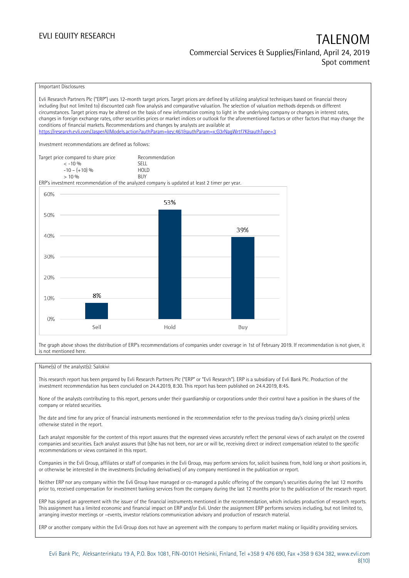Important Disclosures

Evli Research Partners Plc ("ERP") uses 12-month target prices. Target prices are defined by utilizing analytical techniques based on financial theory including (but not limited to) discounted cash flow analysis and comparative valuation. The selection of valuation methods depends on different circumstances. Target prices may be altered on the basis of new information coming to light in the underlying company or changes in interest rates, changes in foreign exchange rates, other securities prices or market indices or outlook for the aforementioned factors or other factors that may change the conditions of financial markets. Recommendations and changes by analysts are available at <https://research.evli.com/JasperAllModels.action?authParam=key;461&authParam=x;G3rNagWrtf7K&authType=3> Investment recommendations are defined as follows: Target price compared to share price Recommendation<br>  $\leq -10\%$  $\langle 5, 10, 10 \rangle$  SELL<br> $\langle -10, 10, 10 \rangle$  SELL  $-10 - (+10) \%$  HOL<br>  $> 10 \%$  RIJY  $> 10\%$ ERP's investment recommendation of the analyzed company is updated at least 2 timer per year. 60% 53% 50% 39% 40% 30% 20% 8% 10%  $0%$ Sell Hold Buy

The graph above shows the distribution of ERP's recommendations of companies under coverage in 1st of February 2019. If recommendation is not given, it is not mentioned here.

### Name(s) of the analyst(s): Salokivi

This research report has been prepared by Evli Research Partners Plc ("ERP" or "Evli Research"). ERP is a subsidiary of Evli Bank Plc. Production of the investment recommendation has been concluded on 24.4.2019, 8:30. This report has been published on 24.4.2019, 8:45.

None of the analysts contributing to this report, persons under their guardianship or corporations under their control have a position in the shares of the company or related securities.

The date and time for any price of financial instruments mentioned in the recommendation refer to the previous trading day's closing price(s) unless otherwise stated in the report.

Each analyst responsible for the content of this report assures that the expressed views accurately reflect the personal views of each analyst on the covered companies and securities. Each analyst assures that (s)he has not been, nor are or will be, receiving direct or indirect compensation related to the specific recommendations or views contained in this report.

Companies in the Evli Group, affiliates or staff of companies in the Evli Group, may perform services for, solicit business from, hold long or short positions in, or otherwise be interested in the investments (including derivatives) of any company mentioned in the publication or report.

Neither ERP nor any company within the Evli Group have managed or co-managed a public offering of the company's securities during the last 12 months prior to, received compensation for investment banking services from the company during the last 12 months prior to the publication of the research report.

ERP has signed an agreement with the issuer of the financial instruments mentioned in the recommendation, which includes production of research reports. This assignment has a limited economic and financial impact on ERP and/or Evli. Under the assignment ERP performs services including, but not limited to, arranging investor meetings or –events, investor relations communication advisory and production of research material.

ERP or another company within the Evli Group does not have an agreement with the company to perform market making or liquidity providing services.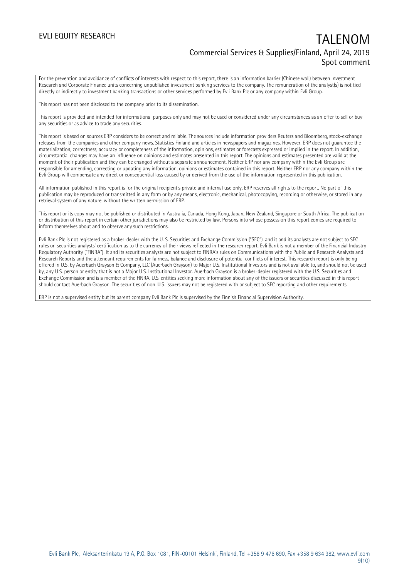For the prevention and avoidance of conflicts of interests with respect to this report, there is an information barrier (Chinese wall) between Investment Research and Corporate Finance units concerning unpublished investment banking services to the company. The remuneration of the analyst(s) is not tied directly or indirectly to investment banking transactions or other services performed by Evli Bank Plc or any company within Evli Group.

This report has not been disclosed to the company prior to its dissemination.

This report is provided and intended for informational purposes only and may not be used or considered under any circumstances as an offer to sell or buy any securities or as advice to trade any securities.

This report is based on sources ERP considers to be correct and reliable. The sources include information providers Reuters and Bloomberg, stock-exchange releases from the companies and other company news, Statistics Finland and articles in newspapers and magazines. However, ERP does not guarantee the materialization, correctness, accuracy or completeness of the information, opinions, estimates or forecasts expressed or implied in the report. In addition, circumstantial changes may have an influence on opinions and estimates presented in this report. The opinions and estimates presented are valid at the moment of their publication and they can be changed without a separate announcement. Neither ERP nor any company within the Evli Group are responsible for amending, correcting or updating any information, opinions or estimates contained in this report. Neither ERP nor any company within the Evli Group will compensate any direct or consequential loss caused by or derived from the use of the information represented in this publication.

All information published in this report is for the original recipient's private and internal use only. ERP reserves all rights to the report. No part of this publication may be reproduced or transmitted in any form or by any means, electronic, mechanical, photocopying, recording or otherwise, or stored in any retrieval system of any nature, without the written permission of ERP.

This report or its copy may not be published or distributed in Australia, Canada, Hong Kong, Japan, New Zealand, Singapore or South Africa. The publication or distribution of this report in certain other jurisdictions may also be restricted by law. Persons into whose possession this report comes are required to inform themselves about and to observe any such restrictions.

Evli Bank Plc is not registered as a broker-dealer with the U. S. Securities and Exchange Commission ("SEC"), and it and its analysts are not subject to SEC rules on securities analysts' certification as to the currency of their views reflected in the research report. Evli Bank is not a member of the Financial Industry Regulatory Authority ("FINRA"). It and its securities analysts are not subject to FINRA's rules on Communications with the Public and Research Analysts and Research Reports and the attendant requirements for fairness, balance and disclosure of potential conflicts of interest. This research report is only being offered in U.S. by Auerbach Grayson & Company, LLC (Auerbach Grayson) to Major U.S. Institutional Investors and is not available to, and should not be used by, any U.S. person or entity that is not a Major U.S. Institutional Investor. Auerbach Grayson is a broker-dealer registered with the U.S. Securities and Exchange Commission and is a member of the FINRA. U.S. entities seeking more information about any of the issuers or securities discussed in this report should contact Auerbach Grayson. The securities of non-U.S. issuers may not be registered with or subject to SEC reporting and other requirements.

ERP is not a supervised entity but its parent company Evli Bank Plc is supervised by the Finnish Financial Supervision Authority.